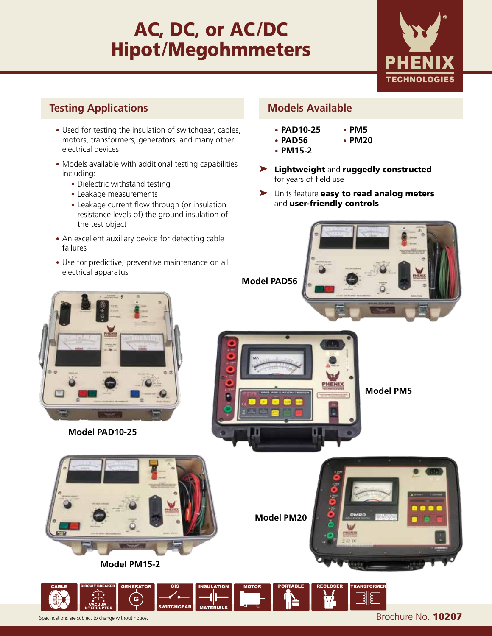# AC, DC, or AC**/**DC Hipot**/**Megohmmeters



#### **Testing Applications Models Available**

- **•** Used for testing the insulation of switchgear, cables, motors, transformers, generators, and many other electrical devices.
- **•** Models available with additional testing capabilities including:
	- **•** Dielectric withstand testing
	- **•** Leakage measurements
	- **•** Leakage current flow through (or insulation resistance levels of) the ground insulation of the test object
- **•** An excellent auxiliary device for detecting cable failures
- **•** Use for predictive, preventive maintenance on all electrical apparatus

- **• PAD10-25**
- **• PAD56**
- **• PM15-2**
- ➤ Lightweight and ruggedly constructed for years of field use

**• PM5 • PM20**

▶ Units feature easy to read analog meters and user-friendly controls

**Model PAD56**

**Model PM20**







**Model PM15-2**

Specifications are subject to change without notice. **Brochure No. 10207** CABLE G GENERATOR GIS WITCHGEAI INSULATION MATERIALS MOTOR PORTABLE RECLOSER TRANSFORMER CIRCUIT BREAKER VACUUM INTERRUPTER

a.

**Model PM5**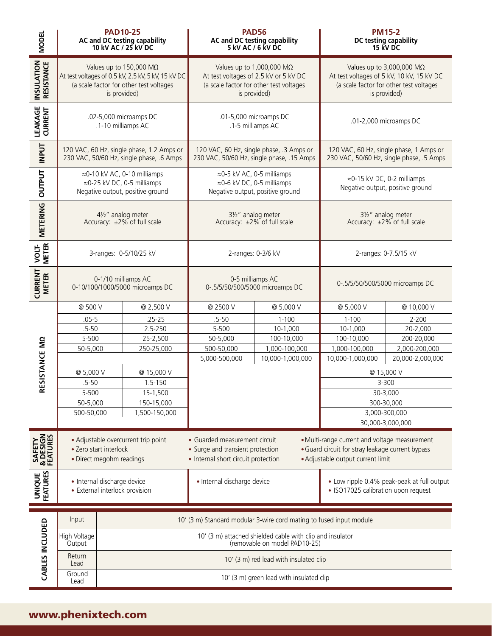| <b>MODEL</b>                    | <b>PAD10-25</b><br><b>PAD56</b><br>AC and DC testing capability<br>10 kV AC / 25 kV DC<br>AC and DC testing capability<br>5 kV AC / 6 kV DC      |                                                                     | <b>PM15-2</b><br>DC testing capability<br>15 kV DC                                                                                                               |                                                                                            |                                                                                                                                          |                                                                                   |                  |
|---------------------------------|--------------------------------------------------------------------------------------------------------------------------------------------------|---------------------------------------------------------------------|------------------------------------------------------------------------------------------------------------------------------------------------------------------|--------------------------------------------------------------------------------------------|------------------------------------------------------------------------------------------------------------------------------------------|-----------------------------------------------------------------------------------|------------------|
| <b>INSULATION</b><br>RESISTANCE | Values up to 150,000 M $\Omega$<br>At test voltages of 0.5 kV, 2.5 kV, 5 kV, 15 kV DC<br>(a scale factor for other test voltages<br>is provided) |                                                                     | Values up to 1,000,000 $M\Omega$<br>At test voltages of 2.5 kV or 5 kV DC<br>(a scale factor for other test voltages<br>is provided)                             |                                                                                            | Values up to 3,000,000 $M\Omega$<br>At test voltages of 5 kV, 10 kV, 15 kV DC<br>(a scale factor for other test voltages<br>is provided) |                                                                                   |                  |
| <b>LEAKAGE</b><br>CURRENT       | .02-5,000 microamps DC<br>.1-10 milliamps AC                                                                                                     |                                                                     | .01-5,000 microamps DC<br>.1-5 milliamps AC                                                                                                                      |                                                                                            | .01-2,000 microamps DC                                                                                                                   |                                                                                   |                  |
| <b>INPUT</b>                    | 120 VAC, 60 Hz, single phase, 1.2 Amps or<br>230 VAC, 50/60 Hz, single phase, .6 Amps                                                            |                                                                     | 120 VAC, 60 Hz, single phase, .3 Amps or<br>230 VAC, 50/60 Hz, single phase, .15 Amps                                                                            |                                                                                            | 120 VAC, 60 Hz, single phase, 1 Amps or<br>230 VAC, 50/60 Hz, single phase, .5 Amps                                                      |                                                                                   |                  |
| <b>OUTPUT</b>                   | ≈0-10 kV AC, 0-10 milliamps<br>≈0-25 kV DC, 0-5 milliamps<br>Negative output, positive ground                                                    |                                                                     |                                                                                                                                                                  | ≈0-5 kV AC, 0-5 milliamps<br>≈0-6 kV DC, 0-5 milliamps<br>Negative output, positive ground |                                                                                                                                          | ≈0-15 kV DC, 0-2 milliamps<br>Negative output, positive ground                    |                  |
| <b>METERING</b>                 | 41/2" analog meter<br>Accuracy: ±2% of full scale                                                                                                |                                                                     | 31/2" analog meter<br>Accuracy: ±2% of full scale                                                                                                                |                                                                                            | 31/2" analog meter<br>Accuracy: ±2% of full scale                                                                                        |                                                                                   |                  |
| VOLT-<br>METER                  | 3-ranges: 0-5/10/25 kV                                                                                                                           |                                                                     | 2-ranges: 0-3/6 kV                                                                                                                                               |                                                                                            | 2-ranges: 0-7.5/15 kV                                                                                                                    |                                                                                   |                  |
| <b>CURRENT</b><br><b>METER</b>  | 0-1/10 milliamps AC<br>0-10/100/1000/5000 microamps DC                                                                                           |                                                                     | 0-5 milliamps AC<br>0-.5/5/50/500/5000 microamps DC                                                                                                              |                                                                                            | 0-.5/5/50/500/5000 microamps DC                                                                                                          |                                                                                   |                  |
|                                 | @ 500 V                                                                                                                                          |                                                                     | @ 2,500 V                                                                                                                                                        | @ 2500 V                                                                                   | @ 5,000 V                                                                                                                                | @ 5,000 V                                                                         | @ 10,000 V       |
|                                 | $.05 - 5$                                                                                                                                        |                                                                     | $.25 - 25$                                                                                                                                                       | $.5 - 50$                                                                                  | $1 - 100$                                                                                                                                | $1 - 100$                                                                         | 2-200            |
|                                 | $.5 - 50$                                                                                                                                        |                                                                     | 2.5-250                                                                                                                                                          | 5-500                                                                                      | 10-1,000                                                                                                                                 | 10-1,000                                                                          | 20-2,000         |
|                                 | 5-500                                                                                                                                            |                                                                     | 25-2,500                                                                                                                                                         | 50-5,000                                                                                   | 100-10,000                                                                                                                               | 100-10,000                                                                        | 200-20,000       |
|                                 | 50-5,000                                                                                                                                         |                                                                     | 250-25,000                                                                                                                                                       | 500-50,000                                                                                 | 1,000-100,000                                                                                                                            | 1,000-100,000                                                                     | 2,000-200,000    |
| ESISTANCE MO                    |                                                                                                                                                  |                                                                     |                                                                                                                                                                  | 5,000-500,000                                                                              | 10,000-1,000,000                                                                                                                         | 10,000-1,000,000                                                                  | 20,000-2,000,000 |
|                                 | @ 5,000 V                                                                                                                                        |                                                                     | @ 15,000 V                                                                                                                                                       |                                                                                            |                                                                                                                                          |                                                                                   | @ 15,000 V       |
|                                 | $.5 - 50$                                                                                                                                        |                                                                     | 1.5-150                                                                                                                                                          |                                                                                            |                                                                                                                                          | 3-300                                                                             |                  |
| ๔                               | 5-500                                                                                                                                            |                                                                     | 15-1,500                                                                                                                                                         |                                                                                            |                                                                                                                                          |                                                                                   | 30-3,000         |
|                                 | 50-5,000                                                                                                                                         |                                                                     | 150-15,000                                                                                                                                                       |                                                                                            |                                                                                                                                          |                                                                                   | 300-30,000       |
|                                 | 500-50,000                                                                                                                                       |                                                                     | 1,500-150,000                                                                                                                                                    |                                                                                            |                                                                                                                                          |                                                                                   | 3,000-300,000    |
|                                 |                                                                                                                                                  |                                                                     |                                                                                                                                                                  |                                                                                            |                                                                                                                                          | 30,000-3,000,000                                                                  |                  |
|                                 | • Adjustable overcurrent trip point                                                                                                              |                                                                     | • Guarded measurement circuit<br>• Multi-range current and voltage measurement                                                                                   |                                                                                            |                                                                                                                                          |                                                                                   |                  |
| SAFETY<br>& DESIGN<br>FEATURES  | · Zero start interlock<br>• Direct megohm readings                                                                                               |                                                                     | • Surge and transient protection<br>• Guard circuit for stray leakage current bypass<br>• Adjustable output current limit<br>• Internal short circuit protection |                                                                                            |                                                                                                                                          |                                                                                   |                  |
|                                 |                                                                                                                                                  |                                                                     |                                                                                                                                                                  |                                                                                            |                                                                                                                                          |                                                                                   |                  |
| <b>UNIQUE</b><br>FEATURES       | · Internal discharge device<br>• External interlock provision                                                                                    |                                                                     |                                                                                                                                                                  | · Internal discharge device                                                                |                                                                                                                                          | • Low ripple 0.4% peak-peak at full output<br>· ISO17025 calibration upon request |                  |
| CABLES INCLUDED                 | Input                                                                                                                                            | 10' (3 m) Standard modular 3-wire cord mating to fused input module |                                                                                                                                                                  |                                                                                            |                                                                                                                                          |                                                                                   |                  |
|                                 | High Voltage<br>Output                                                                                                                           |                                                                     |                                                                                                                                                                  |                                                                                            | 10' (3 m) attached shielded cable with clip and insulator<br>(removable on model PAD10-25)                                               |                                                                                   |                  |
|                                 | Return<br>Lead                                                                                                                                   |                                                                     |                                                                                                                                                                  |                                                                                            | 10' (3 m) red lead with insulated clip                                                                                                   |                                                                                   |                  |
|                                 | Ground<br>10' (3 m) green lead with insulated clip<br>Lead                                                                                       |                                                                     |                                                                                                                                                                  |                                                                                            |                                                                                                                                          |                                                                                   |                  |

# www.phenixtech.com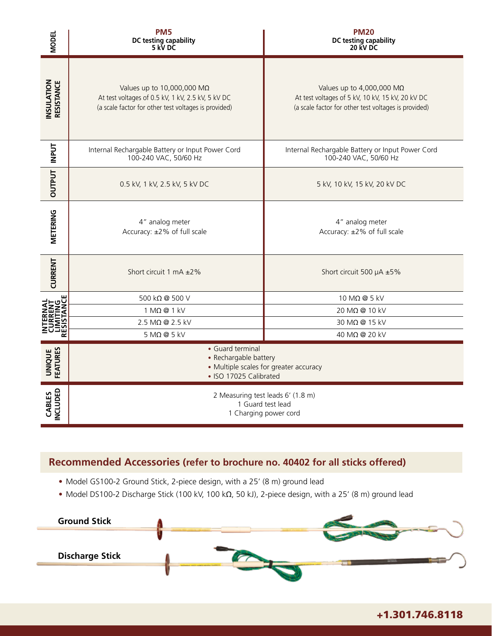| <b>MODEL</b>                     | PM <sub>5</sub><br>DC testing capability<br>5 kV DC                                                                                     | <b>PM20</b><br>DC testing capability<br>20 kV DC                                                                                             |  |  |
|----------------------------------|-----------------------------------------------------------------------------------------------------------------------------------------|----------------------------------------------------------------------------------------------------------------------------------------------|--|--|
| <b>INSULATION<br/>RESISTANCE</b> | Values up to 10,000,000 MΩ<br>At test voltages of 0.5 kV, 1 kV, 2.5 kV, 5 kV DC<br>(a scale factor for other test voltages is provided) | Values up to 4,000,000 $M\Omega$<br>At test voltages of 5 kV, 10 kV, 15 kV, 20 kV DC<br>(a scale factor for other test voltages is provided) |  |  |
| <b>INPUT</b>                     | Internal Rechargable Battery or Input Power Cord<br>100-240 VAC, 50/60 Hz                                                               | Internal Rechargable Battery or Input Power Cord<br>100-240 VAC, 50/60 Hz                                                                    |  |  |
| <b>OUTPUT</b>                    | 0.5 kV, 1 kV, 2.5 kV, 5 kV DC                                                                                                           | 5 kV, 10 kV, 15 kV, 20 kV DC                                                                                                                 |  |  |
| METERING                         | 4" analog meter<br>Accuracy: ±2% of full scale                                                                                          | 4" analog meter<br>Accuracy: ±2% of full scale                                                                                               |  |  |
| <b>CURRENT</b>                   | Short circuit 1 mA ±2%                                                                                                                  | Short circuit 500 µA ±5%                                                                                                                     |  |  |
|                                  | 500 kΩ @ 500 V                                                                                                                          | 10 M $\Omega$ @ 5 kV                                                                                                                         |  |  |
|                                  | $1 M\Omega$ @ $1 kV$                                                                                                                    | 20 MΩ @ 10 kV                                                                                                                                |  |  |
|                                  | 2.5 MΩ @ 2.5 kV<br>$5 M\Omega @ 5 kV$                                                                                                   | 30 MΩ @ 15 kV<br>40 MΩ @ 20 kV                                                                                                               |  |  |
| <b>UNIQUE</b><br>FEATURES        | • Guard terminal<br>• Rechargable battery<br>• Multiple scales for greater accuracy<br>• ISO 17025 Calibrated                           |                                                                                                                                              |  |  |
| <b>NCLUDED</b><br>CABLES         | 2 Measuring test leads 6' (1.8 m)<br>1 Guard test lead<br>1 Charging power cord                                                         |                                                                                                                                              |  |  |

#### **Recommended Accessories (refer to brochure no. 40402 for all sticks offered)**

- Model GS100-2 Ground Stick, 2-piece design, with a 25' (8 m) ground lead
- Model DS100-2 Discharge Stick (100 kV, 100 kΩ, 50 kJ), 2-piece design, with a 25' (8 m) ground lead



+1.301.746.8118